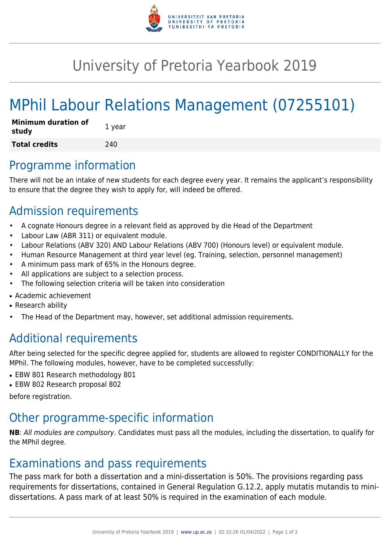

# University of Pretoria Yearbook 2019

# MPhil Labour Relations Management (07255101)

| <b>Minimum duration of</b><br>study | 1 year |
|-------------------------------------|--------|
| <b>Total credits</b>                | 240    |

### Programme information

There will not be an intake of new students for each degree every year. It remains the applicant's responsibility to ensure that the degree they wish to apply for, will indeed be offered.

## Admission requirements

- A cognate Honours degree in a relevant field as approved by die Head of the Department
- Labour Law (ABR 311) or equivalent module.
- Labour Relations (ABV 320) AND Labour Relations (ABV 700) (Honours level) or equivalent module.
- Human Resource Management at third year level (eg. Training, selection, personnel management)
- A minimum pass mark of 65% in the Honours degree.
- All applications are subject to a selection process.
- The following selection criteria will be taken into consideration
- Academic achievement
- Research ability
- The Head of the Department may, however, set additional admission requirements.

## Additional requirements

After being selected for the specific degree applied for, students are allowed to register CONDITIONALLY for the MPhil. The following modules, however, have to be completed successfully:

- EBW 801 Research methodology 801
- EBW 802 Research proposal 802

before registration.

### Other programme-specific information

**NB**: All modules are compulsory. Candidates must pass all the modules, including the dissertation, to qualify for the MPhil degree.

### Examinations and pass requirements

The pass mark for both a dissertation and a mini-dissertation is 50%. The provisions regarding pass requirements for dissertations, contained in General Regulation G.12.2, apply mutatis mutandis to minidissertations. A pass mark of at least 50% is required in the examination of each module.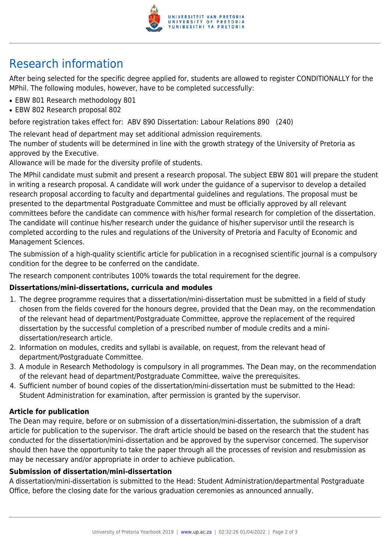

## Research information

After being selected for the specific degree applied for, students are allowed to register CONDITIONALLY for the MPhil. The following modules, however, have to be completed successfully:

- EBW 801 Research methodology 801
- EBW 802 Research proposal 802

before registration takes effect for: ABV 890 Dissertation: Labour Relations 890 (240)

The relevant head of department may set additional admission requirements.

The number of students will be determined in line with the growth strategy of the University of Pretoria as approved by the Executive.

Allowance will be made for the diversity profile of students.

The MPhil candidate must submit and present a research proposal. The subject EBW 801 will prepare the student in writing a research proposal. A candidate will work under the guidance of a supervisor to develop a detailed research proposal according to faculty and departmental guidelines and regulations. The proposal must be presented to the departmental Postgraduate Committee and must be officially approved by all relevant committees before the candidate can commence with his/her formal research for completion of the dissertation. The candidate will continue his/her research under the guidance of his/her supervisor until the research is completed according to the rules and regulations of the University of Pretoria and Faculty of Economic and Management Sciences.

The submission of a high-quality scientific article for publication in a recognised scientific journal is a compulsory condition for the degree to be conferred on the candidate.

The research component contributes 100% towards the total requirement for the degree.

#### **Dissertations/mini-dissertations, curricula and modules**

- 1. The degree programme requires that a dissertation/mini-dissertation must be submitted in a field of study chosen from the fields covered for the honours degree, provided that the Dean may, on the recommendation of the relevant head of department/Postgraduate Committee, approve the replacement of the required dissertation by the successful completion of a prescribed number of module credits and a minidissertation/research article.
- 2. Information on modules, credits and syllabi is available, on request, from the relevant head of department/Postgraduate Committee.
- 3. A module in Research Methodology is compulsory in all programmes. The Dean may, on the recommendation of the relevant head of department/Postgraduate Committee, waive the prerequisites.
- 4. Sufficient number of bound copies of the dissertation/mini-dissertation must be submitted to the Head: Student Administration for examination, after permission is granted by the supervisor.

#### **Article for publication**

The Dean may require, before or on submission of a dissertation/mini-dissertation, the submission of a draft article for publication to the supervisor. The draft article should be based on the research that the student has conducted for the dissertation/mini-dissertation and be approved by the supervisor concerned. The supervisor should then have the opportunity to take the paper through all the processes of revision and resubmission as may be necessary and/or appropriate in order to achieve publication.

#### **Submission of dissertation/mini-dissertation**

A dissertation/mini-dissertation is submitted to the Head: Student Administration/departmental Postgraduate Office, before the closing date for the various graduation ceremonies as announced annually.